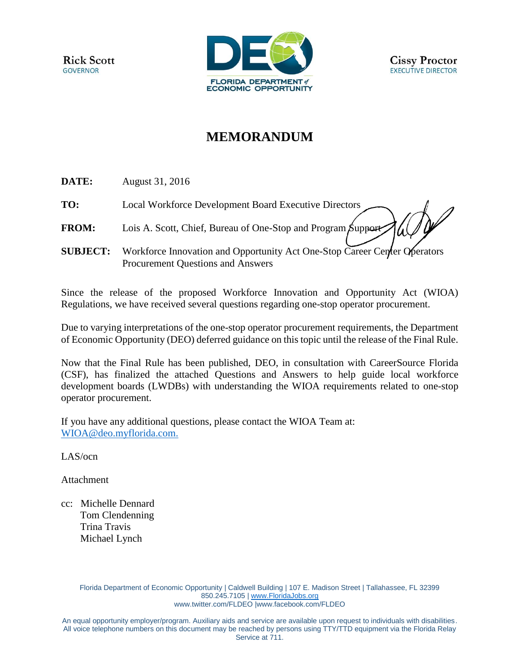

# **MEMORANDUM**

**DATE:** August 31, 2016

**TO:** Local Workforce Development Board Executive Directors

**FROM:** Lois A. Scott, Chief, Bureau of One-Stop and Program Support

**SUBJECT:** Workforce Innovation and Opportunity Act One-Stop Career Center Operators Procurement Questions and Answers

Since the release of the proposed Workforce Innovation and Opportunity Act (WIOA) Regulations, we have received several questions regarding one-stop operator procurement.

Due to varying interpretations of the one-stop operator procurement requirements, the Department of Economic Opportunity (DEO) deferred guidance on this topic until the release of the Final Rule.

Now that the Final Rule has been published, DEO, in consultation with CareerSource Florida (CSF), has finalized the attached Questions and Answers to help guide local workforce development boards (LWDBs) with understanding the WIOA requirements related to one-stop operator procurement.

If you have any additional questions, please contact the WIOA Team at: [WIOA@deo.myflorida.com.](mailto:WIOA@deo.myflorida.com)

LAS/ocn

Attachment

cc: Michelle Dennard Tom Clendenning Trina Travis Michael Lynch

> Florida Department of Economic Opportunity | Caldwell Building | 107 E. Madison Street | Tallahassee, FL 32399 850.245.7105 | [www.FloridaJobs.org](http://www.floridajobs.org/) [www.twitter.com/FLDEO](http://www.twitter.com/FLDEO) |www.facebook.com/FLDEO

An equal opportunity employer/program. Auxiliary aids and service are available upon request to individuals with disabilities. All voice telephone numbers on this document may be reached by persons using TTY/TTD equipment via the Florida Relay Service at 711.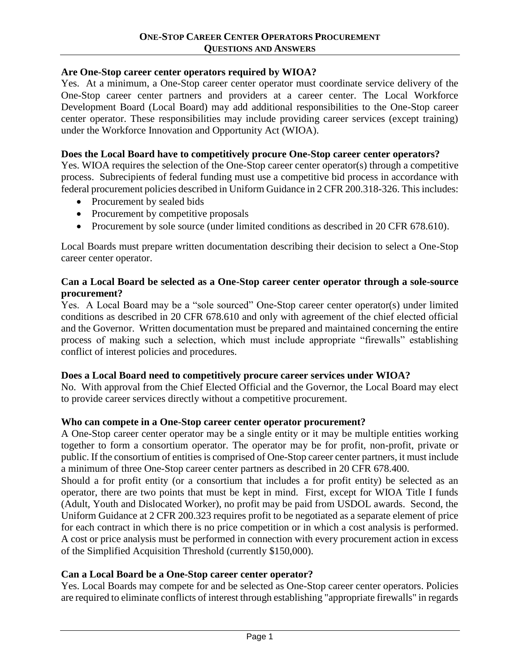## **Are One-Stop career center operators required by WIOA?**

Yes. At a minimum, a One-Stop career center operator must coordinate service delivery of the One-Stop career center partners and providers at a career center. The Local Workforce Development Board (Local Board) may add additional responsibilities to the One-Stop career center operator. These responsibilities may include providing career services (except training) under the Workforce Innovation and Opportunity Act (WIOA).

## **Does the Local Board have to competitively procure One-Stop career center operators?**

Yes. WIOA requires the selection of the One-Stop career center operator(s) through a competitive process. Subrecipients of federal funding must use a competitive bid process in accordance with federal procurement policies described in Uniform Guidance in 2 CFR 200.318-326. This includes:

- Procurement by sealed bids
- Procurement by competitive proposals
- Procurement by sole source (under limited conditions as described in 20 CFR 678.610).

Local Boards must prepare written documentation describing their decision to select a One-Stop career center operator.

## **Can a Local Board be selected as a One-Stop career center operator through a sole-source procurement?**

Yes. A Local Board may be a "sole sourced" One-Stop career center operator(s) under limited conditions as described in 20 CFR 678.610 and only with agreement of the chief elected official and the Governor. Written documentation must be prepared and maintained concerning the entire process of making such a selection, which must include appropriate "firewalls" establishing conflict of interest policies and procedures.

## **Does a Local Board need to competitively procure career services under WIOA?**

No. With approval from the Chief Elected Official and the Governor, the Local Board may elect to provide career services directly without a competitive procurement.

## **Who can compete in a One-Stop career center operator procurement?**

A One-Stop career center operator may be a single entity or it may be multiple entities working together to form a consortium operator. The operator may be for profit, non-profit, private or public. If the consortium of entities is comprised of One-Stop career center partners, it must include a minimum of three One-Stop career center partners as described in 20 CFR 678.400.

Should a for profit entity (or a consortium that includes a for profit entity) be selected as an operator, there are two points that must be kept in mind. First, except for WIOA Title I funds (Adult, Youth and Dislocated Worker), no profit may be paid from USDOL awards. Second, the Uniform Guidance at 2 CFR 200.323 requires profit to be negotiated as a separate element of price for each contract in which there is no price competition or in which a cost analysis is performed. A cost or price analysis must be performed in connection with every procurement action in excess of the Simplified Acquisition Threshold (currently \$150,000).

## **Can a Local Board be a One-Stop career center operator?**

Yes. Local Boards may compete for and be selected as One-Stop career center operators. Policies are required to eliminate conflicts of interest through establishing "appropriate firewalls" in regards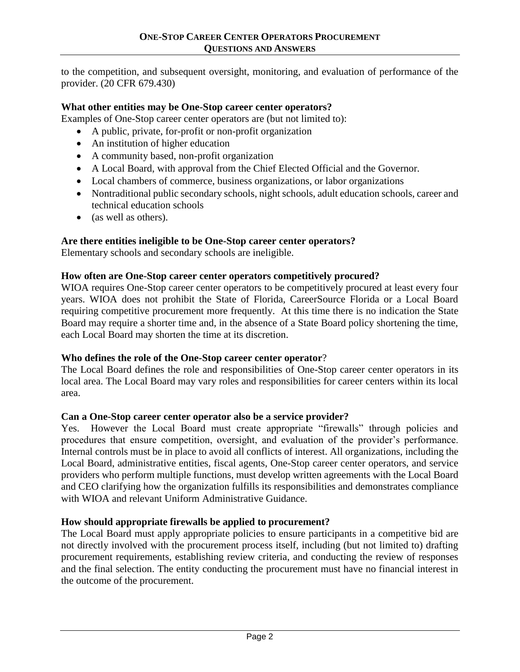to the competition, and subsequent oversight, monitoring, and evaluation of performance of the provider. (20 CFR 679.430)

## **What other entities may be One-Stop career center operators?**

Examples of One-Stop career center operators are (but not limited to):

- A public, private, for-profit or non-profit organization
- An institution of higher education
- A community based, non-profit organization
- A Local Board, with approval from the Chief Elected Official and the Governor.
- Local chambers of commerce, business organizations, or labor organizations
- Nontraditional public secondary schools, night schools, adult education schools, career and technical education schools
- (as well as others).

# **Are there entities ineligible to be One-Stop career center operators?**

Elementary schools and secondary schools are ineligible.

# **How often are One-Stop career center operators competitively procured?**

WIOA requires One-Stop career center operators to be competitively procured at least every four years. WIOA does not prohibit the State of Florida, CareerSource Florida or a Local Board requiring competitive procurement more frequently. At this time there is no indication the State Board may require a shorter time and, in the absence of a State Board policy shortening the time, each Local Board may shorten the time at its discretion.

## **Who defines the role of the One-Stop career center operator**?

The Local Board defines the role and responsibilities of One-Stop career center operators in its local area. The Local Board may vary roles and responsibilities for career centers within its local area.

## **Can a One-Stop career center operator also be a service provider?**

Yes. However the Local Board must create appropriate "firewalls" through policies and procedures that ensure competition, oversight, and evaluation of the provider's performance. Internal controls must be in place to avoid all conflicts of interest. All organizations, including the Local Board, administrative entities, fiscal agents, One-Stop career center operators, and service providers who perform multiple functions, must develop written agreements with the Local Board and CEO clarifying how the organization fulfills its responsibilities and demonstrates compliance with WIOA and relevant Uniform Administrative Guidance.

# **How should appropriate firewalls be applied to procurement?**

The Local Board must apply appropriate policies to ensure participants in a competitive bid are not directly involved with the procurement process itself, including (but not limited to) drafting procurement requirements, establishing review criteria, and conducting the review of responses and the final selection. The entity conducting the procurement must have no financial interest in the outcome of the procurement.